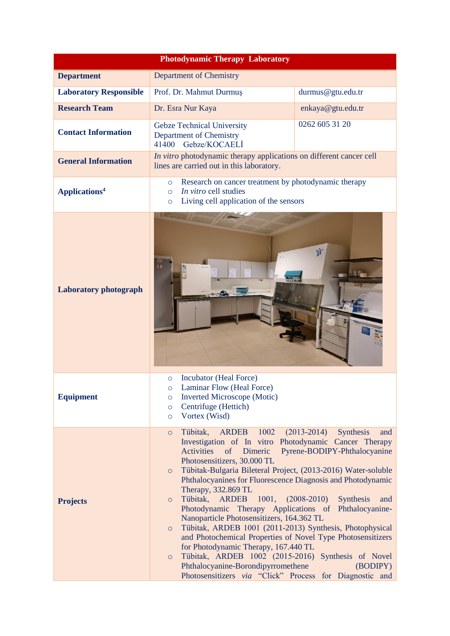| <b>Photodynamic Therapy Laboratory</b> |                                                                                                                                                                                                                                                                                                                                                                                                                                                                                                                                                                                                                                                                                                                                                                                                                                  |                                                                                                                                      |  |  |
|----------------------------------------|----------------------------------------------------------------------------------------------------------------------------------------------------------------------------------------------------------------------------------------------------------------------------------------------------------------------------------------------------------------------------------------------------------------------------------------------------------------------------------------------------------------------------------------------------------------------------------------------------------------------------------------------------------------------------------------------------------------------------------------------------------------------------------------------------------------------------------|--------------------------------------------------------------------------------------------------------------------------------------|--|--|
| <b>Department</b>                      | <b>Department of Chemistry</b>                                                                                                                                                                                                                                                                                                                                                                                                                                                                                                                                                                                                                                                                                                                                                                                                   |                                                                                                                                      |  |  |
| <b>Laboratory Responsible</b>          | Prof. Dr. Mahmut Durmuş                                                                                                                                                                                                                                                                                                                                                                                                                                                                                                                                                                                                                                                                                                                                                                                                          | durmus@gtu.edu.tr                                                                                                                    |  |  |
| <b>Research Team</b>                   | Dr. Esra Nur Kaya                                                                                                                                                                                                                                                                                                                                                                                                                                                                                                                                                                                                                                                                                                                                                                                                                | enkaya@gtu.edu.tr                                                                                                                    |  |  |
| <b>Contact Information</b>             | <b>Gebze Technical University</b><br>Department of Chemistry<br>Gebze/KOCAELİ<br>41400                                                                                                                                                                                                                                                                                                                                                                                                                                                                                                                                                                                                                                                                                                                                           | 0262 605 31 20                                                                                                                       |  |  |
| <b>General Information</b>             | In vitro photodynamic therapy applications on different cancer cell<br>lines are carried out in this laboratory.                                                                                                                                                                                                                                                                                                                                                                                                                                                                                                                                                                                                                                                                                                                 |                                                                                                                                      |  |  |
| Applications <sup>4</sup>              | Research on cancer treatment by photodynamic therapy<br>$\circ$<br>In vitro cell studies<br>$\circ$<br>Living cell application of the sensors<br>$\circ$                                                                                                                                                                                                                                                                                                                                                                                                                                                                                                                                                                                                                                                                         |                                                                                                                                      |  |  |
| <b>Laboratory photograph</b>           | $\overline{\bf{O}}$                                                                                                                                                                                                                                                                                                                                                                                                                                                                                                                                                                                                                                                                                                                                                                                                              | <b>N</b><br>55 F                                                                                                                     |  |  |
| <b>Equipment</b>                       | Incubator (Heal Force)<br>$\circ$<br>Laminar Flow (Heal Force)<br>$\circ$<br><b>Inverted Microscope (Motic)</b><br>$\circ$<br>Centrifuge (Hettich)<br>$\circ$<br>Vortex (Wisd)<br>$\circ$                                                                                                                                                                                                                                                                                                                                                                                                                                                                                                                                                                                                                                        |                                                                                                                                      |  |  |
| <b>Projects</b>                        | Tübitak,<br>1002<br>ARDEB<br>$\circ$<br>Investigation of In vitro Photodynamic Cancer Therapy<br><b>Activities</b><br>of<br>Dimeric<br>Photosensitizers, 30.000 TL<br>Tübitak-Bulgaria Bileteral Project, (2013-2016) Water-soluble<br>$\circ$<br>Phthalocyanines for Fluorescence Diagnosis and Photodynamic<br>Therapy, 332.869 TL<br>Tübitak,<br>$1001, (2008-2010)$<br>ARDEB<br>$\circ$<br>Photodynamic Therapy Applications of<br>Nanoparticle Photosensitizers, 164.362 TL<br>Tübitak, ARDEB 1001 (2011-2013) Synthesis, Photophysical<br>$\circ$<br>and Photochemical Properties of Novel Type Photosensitizers<br>for Photodynamic Therapy, 167.440 TL<br>Tübitak, ARDEB 1002 (2015-2016) Synthesis of Novel<br>$\circ$<br>Phthalocyanine-Borondipyrromethene<br>Photosensitizers via "Click" Process for Diagnostic and | $(2013 - 2014)$<br><b>Synthesis</b><br>and<br>Pyrene-BODIPY-Phthalocyanine<br><b>Synthesis</b><br>and<br>Phthalocyanine-<br>(BODIPY) |  |  |